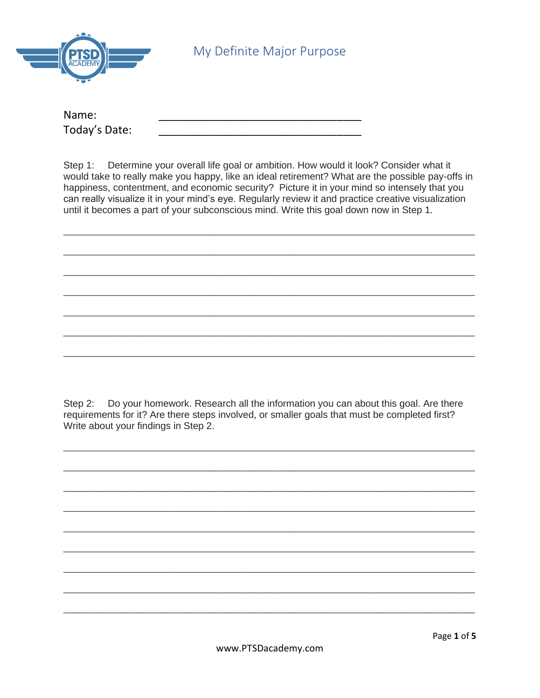

My Definite Major Purpose

| Name:         |  |
|---------------|--|
| Today's Date: |  |

Step 1: Determine your overall life goal or ambition. How would it look? Consider what it would take to really make you happy, like an ideal retirement? What are the possible pay-offs in happiness, contentment, and economic security? Picture it in your mind so intensely that you can really visualize it in your mind's eye. Regularly review it and practice creative visualization until it becomes a part of your subconscious mind. Write this goal down now in Step 1.

Step 2: Do your homework. Research all the information you can about this goal. Are there requirements for it? Are there steps involved, or smaller goals that must be completed first? Write about your findings in Step 2.

www.PTSDacademy.com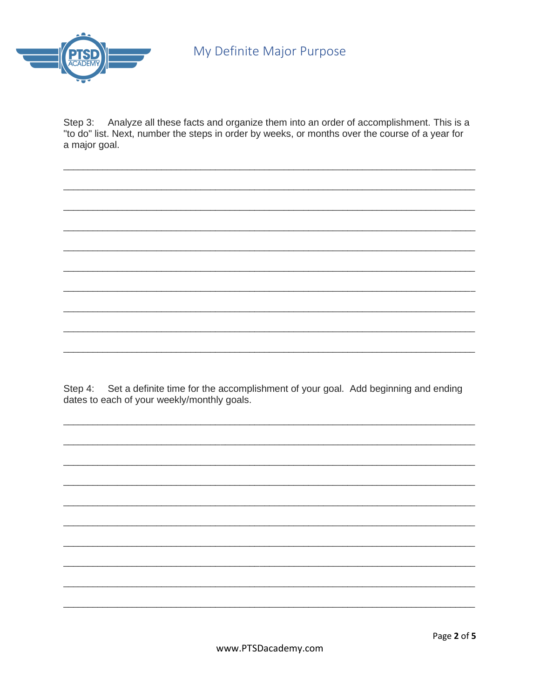

Analyze all these facts and organize them into an order of accomplishment. This is a Step 3: "to do" list. Next, number the steps in order by weeks, or months over the course of a year for a major goal.

Step 4: Set a definite time for the accomplishment of your goal. Add beginning and ending dates to each of your weekly/monthly goals.

www.PTSDacademy.com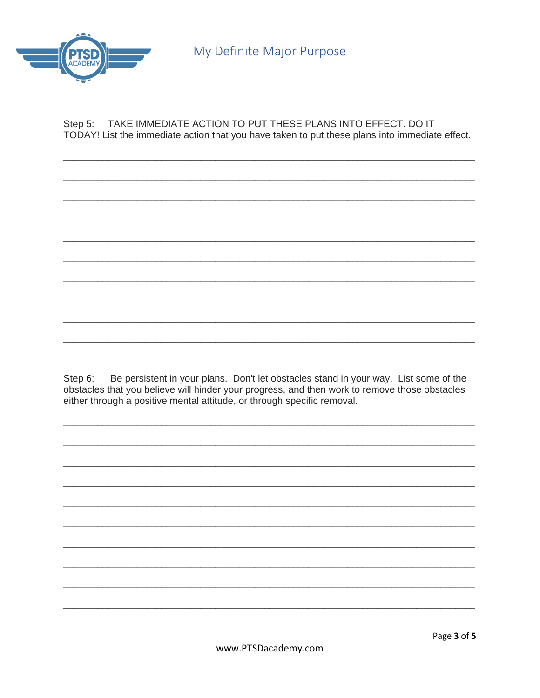

TAKE IMMEDIATE ACTION TO PUT THESE PLANS INTO EFFECT. DO IT Step 5: TODAY! List the immediate action that you have taken to put these plans into immediate effect.

Be persistent in your plans. Don't let obstacles stand in your way. List some of the Step 6: obstacles that you believe will hinder your progress, and then work to remove those obstacles either through a positive mental attitude, or through specific removal.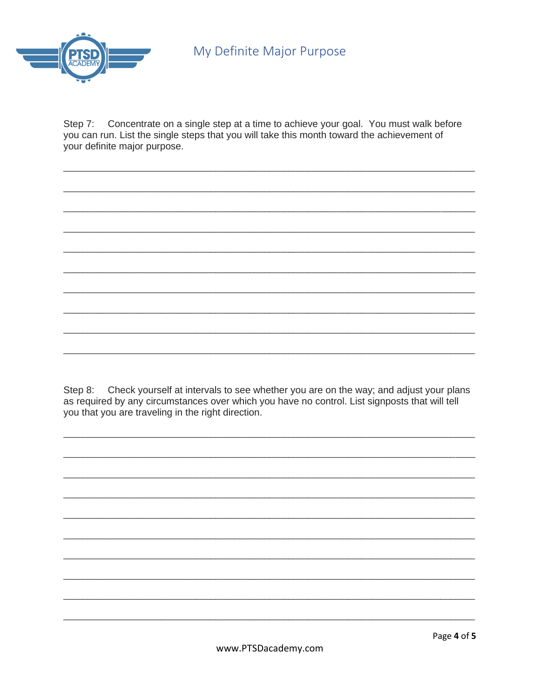

Step 7: Concentrate on a single step at a time to achieve your goal. You must walk before you can run. List the single steps that you will take this month toward the achievement of your definite major purpose.

Step 8: Check yourself at intervals to see whether you are on the way; and adjust your plans as required by any circumstances over which you have no control. List signposts that will tell you that you are traveling in the right direction.